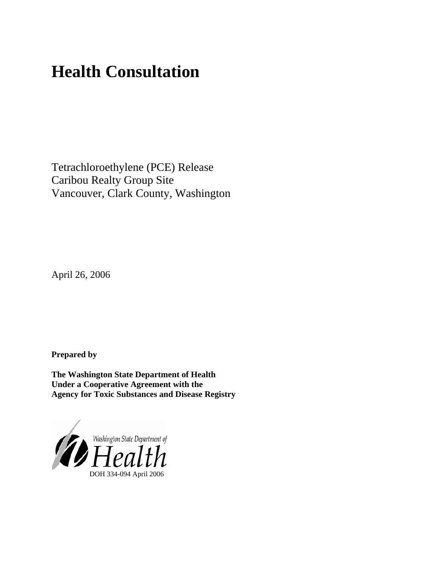# **Health Consultation**

Tetrachloroethylene (PCE) Release Caribou Realty Group Site Vancouver, Clark County, Washington

April 26, 2006

**Prepared by** 

**The Washington State Department of Health Under a Cooperative Agreement with the Agency for Toxic Substances and Disease Registry**

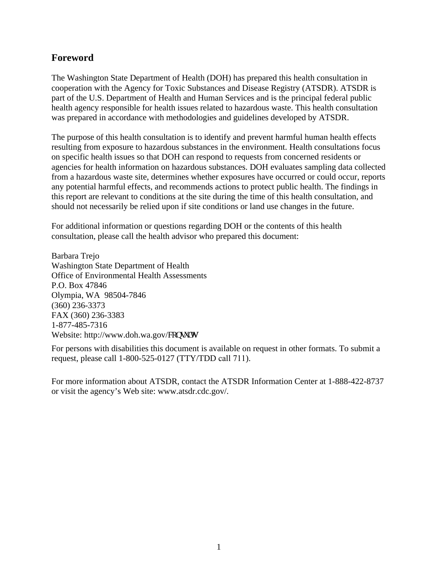#### **Foreword**

The Washington State Department of Health (DOH) has prepared this health consultation in cooperation with the Agency for Toxic Substances and Disease Registry (ATSDR). ATSDR is part of the U.S. Department of Health and Human Services and is the principal federal public health agency responsible for health issues related to hazardous waste. This health consultation was prepared in accordance with methodologies and guidelines developed by ATSDR.

The purpose of this health consultation is to identify and prevent harmful human health effects resulting from exposure to hazardous substances in the environment. Health consultations focus on specific health issues so that DOH can respond to requests from concerned residents or agencies for health information on hazardous substances. DOH evaluates sampling data collected from a hazardous waste site, determines whether exposures have occurred or could occur, reports any potential harmful effects, and recommends actions to protect public health. The findings in this report are relevant to conditions at the site during the time of this health consultation, and should not necessarily be relied upon if site conditions or land use changes in the future.

For additional information or questions regarding DOH or the contents of this health consultation, please call the health advisor who prepared this document:

Barbara Trejo Washington State Department of Health Office of Environmental Health Assessments P.O. Box 47846 Olympia, WA 98504-7846 (360) 236-3373 FAX (360) 236-3383 1-877-485-7316 Website: [http://www.doh.wa.gov/](www.doh.wa.gov/consults)eqpuww

For persons with disabilities this document is available on request in other formats. To submit a request, please call 1-800-525-0127 (TTY/TDD call 711).

For more information about ATSDR, contact the ATSDR Information Center at 1-888-422-8737 or visit the agency's Web site: www.atsdr.cdc.gov/.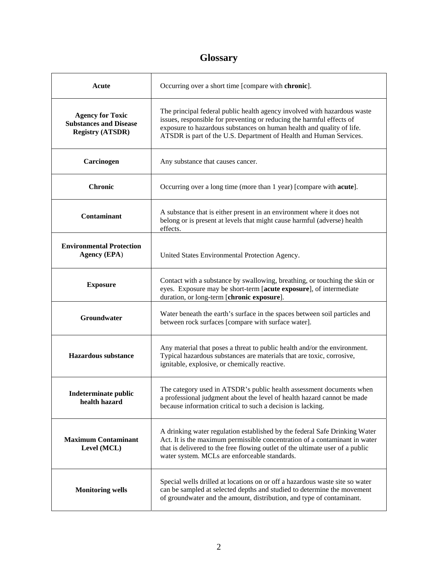# **Glossary**

| Acute                                                                               | Occurring over a short time [compare with chronic].                                                                                                                                                                                                                                              |
|-------------------------------------------------------------------------------------|--------------------------------------------------------------------------------------------------------------------------------------------------------------------------------------------------------------------------------------------------------------------------------------------------|
| <b>Agency for Toxic</b><br><b>Substances and Disease</b><br><b>Registry (ATSDR)</b> | The principal federal public health agency involved with hazardous waste<br>issues, responsible for preventing or reducing the harmful effects of<br>exposure to hazardous substances on human health and quality of life.<br>ATSDR is part of the U.S. Department of Health and Human Services. |
| Carcinogen                                                                          | Any substance that causes cancer.                                                                                                                                                                                                                                                                |
| <b>Chronic</b>                                                                      | Occurring over a long time (more than 1 year) [compare with <b>acute</b> ].                                                                                                                                                                                                                      |
| Contaminant                                                                         | A substance that is either present in an environment where it does not<br>belong or is present at levels that might cause harmful (adverse) health<br>effects.                                                                                                                                   |
| <b>Environmental Protection</b><br>Agency (EPA)                                     | United States Environmental Protection Agency.                                                                                                                                                                                                                                                   |
| <b>Exposure</b>                                                                     | Contact with a substance by swallowing, breathing, or touching the skin or<br>eyes. Exposure may be short-term [acute exposure], of intermediate<br>duration, or long-term [chronic exposure].                                                                                                   |
| Groundwater                                                                         | Water beneath the earth's surface in the spaces between soil particles and<br>between rock surfaces [compare with surface water].                                                                                                                                                                |
| <b>Hazardous substance</b>                                                          | Any material that poses a threat to public health and/or the environment.<br>Typical hazardous substances are materials that are toxic, corrosive,<br>ignitable, explosive, or chemically reactive.                                                                                              |
| Indeterminate public<br>health hazard                                               | The category used in ATSDR's public health assessment documents when<br>a professional judgment about the level of health hazard cannot be made<br>because information critical to such a decision is lacking.                                                                                   |
| <b>Maximum Contaminant</b><br>Level (MCL)                                           | A drinking water regulation established by the federal Safe Drinking Water<br>Act. It is the maximum permissible concentration of a contaminant in water<br>that is delivered to the free flowing outlet of the ultimate user of a public<br>water system. MCLs are enforceable standards.       |
| <b>Monitoring wells</b>                                                             | Special wells drilled at locations on or off a hazardous waste site so water<br>can be sampled at selected depths and studied to determine the movement<br>of groundwater and the amount, distribution, and type of contaminant.                                                                 |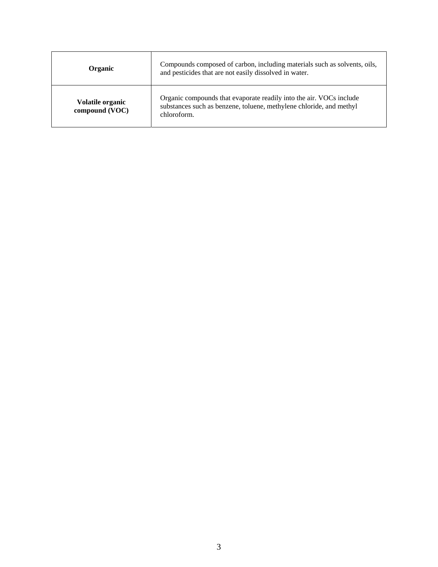| <b>Organic</b>                     | Compounds composed of carbon, including materials such as solvents, oils,<br>and pesticides that are not easily dissolved in water.                       |
|------------------------------------|-----------------------------------------------------------------------------------------------------------------------------------------------------------|
| Volatile organic<br>compound (VOC) | Organic compounds that evaporate readily into the air. VOCs include<br>substances such as benzene, toluene, methylene chloride, and methyl<br>chloroform. |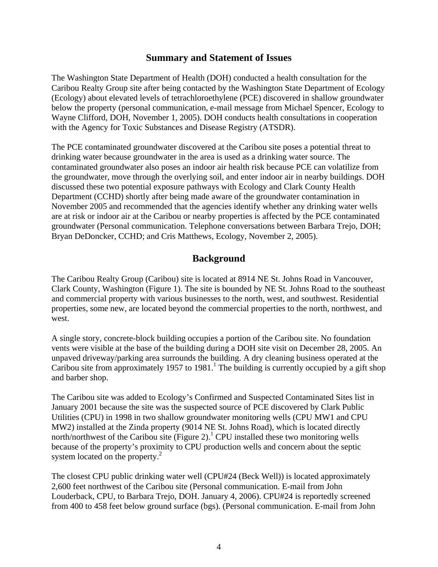#### **Summary and Statement of Issues**

The Washington State Department of Health (DOH) conducted a health consultation for the Caribou Realty Group site after being contacted by the Washington State Department of Ecology (Ecology) about elevated levels of tetrachloroethylene (PCE) discovered in shallow groundwater below the property (personal communication, e-mail message from Michael Spencer, Ecology to Wayne Clifford, DOH, November 1, 2005). DOH conducts health consultations in cooperation with the Agency for Toxic Substances and Disease Registry (ATSDR).

The PCE contaminated groundwater discovered at the Caribou site poses a potential threat to drinking water because groundwater in the area is used as a drinking water source. The contaminated groundwater also poses an indoor air health risk because PCE can volatilize from the groundwater, move through the overlying soil, and enter indoor air in nearby buildings. DOH discussed these two potential exposure pathways with Ecology and Clark County Health Department (CCHD) shortly after being made aware of the groundwater contamination in November 2005 and recommended that the agencies identify whether any drinking water wells are at risk or indoor air at the Caribou or nearby properties is affected by the PCE contaminated groundwater (Personal communication. Telephone conversations between Barbara Trejo, DOH; Bryan DeDoncker, CCHD; and Cris Matthews, Ecology, November 2, 2005).

#### **Background**

The Caribou Realty Group (Caribou) site is located at 8914 NE St. Johns Road in Vancouver, Clark County, Washington (Figure 1). The site is bounded by NE St. Johns Road to the southeast and commercial property with various businesses to the north, west, and southwest. Residential properties, some new, are located beyond the commercial properties to the north, northwest, and west.

A single story, concrete-block building occupies a portion of the Caribou site. No foundation vents were visible at the base of the building during a DOH site visit on December 28, 2005. An unpaved driveway/parking area surrounds the building. A dry cleaning business operated at the Caribou site from approximately 1957 to  $1981<sup>1</sup>$ . The building is currently occupied by a gift shop and barber shop.

The Caribou site was added to Ecology's Confirmed and Suspected Contaminated Sites list in January 2001 because the site was the suspected source of PCE discovered by Clark Public Utilities (CPU) in 1998 in two shallow groundwater monitoring wells (CPU MW1 and CPU MW2) installed at the Zinda property (9014 NE St. Johns Road), which is located directly north/northwest of the Caribou site (Figure 2).<sup>1</sup> CPU installed these two monitoring wells because of the property's proximity to CPU production wells and concern about the septic system located on the property.<sup>2</sup>

The closest CPU public drinking water well (CPU#24 (Beck Well)) is located approximately 2,600 feet northwest of the Caribou site (Personal communication. E-mail from John Louderback, CPU, to Barbara Trejo, DOH. January 4, 2006). CPU#24 is reportedly screened from 400 to 458 feet below ground surface (bgs). (Personal communication. E-mail from John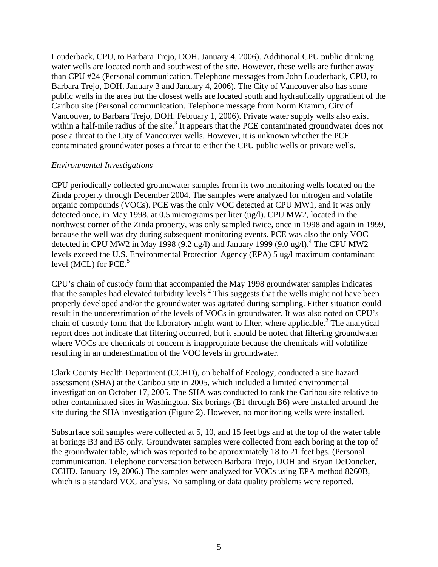Louderback, CPU, to Barbara Trejo, DOH. January 4, 2006). Additional CPU public drinking water wells are located north and southwest of the site. However, these wells are further away than CPU #24 (Personal communication. Telephone messages from John Louderback, CPU, to Barbara Trejo, DOH. January 3 and January 4, 2006). The City of Vancouver also has some public wells in the area but the closest wells are located south and hydraulically upgradient of the Caribou site (Personal communication. Telephone message from Norm Kramm, City of Vancouver, to Barbara Trejo, DOH. February 1, 2006). Private water supply wells also exist within a half-mile radius of the site.<sup>3</sup> It appears that the PCE contaminated groundwater does not pose a threat to the City of Vancouver wells. However, it is unknown whether the PCE contaminated groundwater poses a threat to either the CPU public wells or private wells.

#### *Environmental Investigations*

CPU periodically collected groundwater samples from its two monitoring wells located on the Zinda property through December 2004. The samples were analyzed for nitrogen and volatile organic compounds (VOCs). PCE was the only VOC detected at CPU MW1, and it was only detected once, in May 1998, at 0.5 micrograms per liter (ug/l). CPU MW2, located in the northwest corner of the Zinda property, was only sampled twice, once in 1998 and again in 1999, because the well was dry during subsequent monitoring events. PCE was also the only VOC detected in CPU MW2 in May 1998 (9.2 ug/l) and January 1999 (9.0 ug/l).<sup>4</sup> The CPU MW2 levels exceed the U.S. Environmental Protection Agency (EPA) 5 ug/l maximum contaminant level (MCL) for PCE.<sup>5</sup>

CPU's chain of custody form that accompanied the May 1998 groundwater samples indicates that the samples had elevated turbidity levels.<sup>2</sup> This suggests that the wells might not have been properly developed and/or the groundwater was agitated during sampling. Either situation could result in the underestimation of the levels of VOCs in groundwater. It was also noted on CPU's chain of custody form that the laboratory might want to filter, where applicable.<sup>2</sup> The analytical report does not indicate that filtering occurred, but it should be noted that filtering groundwater where VOCs are chemicals of concern is inappropriate because the chemicals will volatilize resulting in an underestimation of the VOC levels in groundwater.

Clark County Health Department (CCHD), on behalf of Ecology, conducted a site hazard assessment (SHA) at the Caribou site in 2005, which included a limited environmental investigation on October 17, 2005. The SHA was conducted to rank the Caribou site relative to other contaminated sites in Washington. Six borings (B1 through B6) were installed around the site during the SHA investigation (Figure 2). However, no monitoring wells were installed.

Subsurface soil samples were collected at 5, 10, and 15 feet bgs and at the top of the water table at borings B3 and B5 only. Groundwater samples were collected from each boring at the top of the groundwater table, which was reported to be approximately 18 to 21 feet bgs. (Personal communication. Telephone conversation between Barbara Trejo, DOH and Bryan DeDoncker, CCHD. January 19, 2006.) The samples were analyzed for VOCs using EPA method 8260B, which is a standard VOC analysis. No sampling or data quality problems were reported.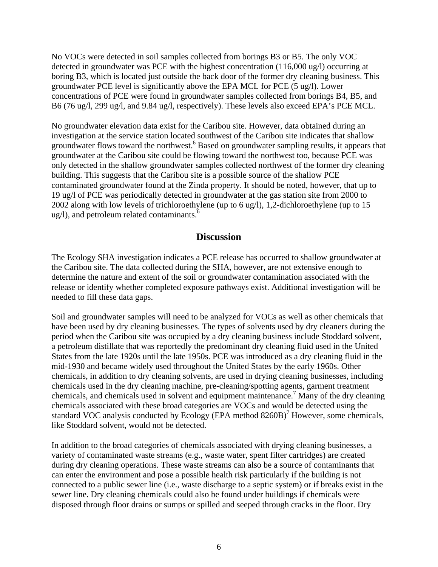No VOCs were detected in soil samples collected from borings B3 or B5. The only VOC detected in groundwater was PCE with the highest concentration (116,000 ug/l) occurring at boring B3, which is located just outside the back door of the former dry cleaning business. This groundwater PCE level is significantly above the EPA MCL for PCE (5 ug/l). Lower concentrations of PCE were found in groundwater samples collected from borings B4, B5, and B6 (76 ug/l, 299 ug/l, and 9.84 ug/l, respectively). These levels also exceed EPA's PCE MCL.

No groundwater elevation data exist for the Caribou site. However, data obtained during an investigation at the service station located southwest of the Caribou site indicates that shallow groundwater flows toward the northwest.<sup>6</sup> Based on groundwater sampling results, it appears that groundwater at the Caribou site could be flowing toward the northwest too, because PCE was only detected in the shallow groundwater samples collected northwest of the former dry cleaning building. This suggests that the Caribou site is a possible source of the shallow PCE contaminated groundwater found at the Zinda property. It should be noted, however, that up to 19 ug/l of PCE was periodically detected in groundwater at the gas station site from 2000 to 2002 along with low levels of trichloroethylene (up to 6 ug/l), 1,2-dichloroethylene (up to 15  $\mu$ g/l), and petroleum related contaminants.<sup>6</sup>

#### **Discussion**

The Ecology SHA investigation indicates a PCE release has occurred to shallow groundwater at the Caribou site. The data collected during the SHA, however, are not extensive enough to determine the nature and extent of the soil or groundwater contamination associated with the release or identify whether completed exposure pathways exist. Additional investigation will be needed to fill these data gaps.

Soil and groundwater samples will need to be analyzed for VOCs as well as other chemicals that have been used by dry cleaning businesses. The types of solvents used by dry cleaners during the period when the Caribou site was occupied by a dry cleaning business include Stoddard solvent, a petroleum distillate that was reportedly the predominant dry cleaning fluid used in the United States from the late 1920s until the late 1950s. PCE was introduced as a dry cleaning fluid in the mid-1930 and became widely used throughout the United States by the early 1960s. Other chemicals, in addition to dry cleaning solvents, are used in drying cleaning businesses, including chemicals used in the dry cleaning machine, pre-cleaning/spotting agents, garment treatment chemicals, and chemicals used in solvent and equipment maintenance.<sup>7</sup> Many of the dry cleaning chemicals associated with these broad categories are VOCs and would be detected using the standard VOC analysis conducted by Ecology (EPA method  $8260B$ )<sup>7</sup> However, some chemicals, like Stoddard solvent, would not be detected.

In addition to the broad categories of chemicals associated with drying cleaning businesses, a variety of contaminated waste streams (e.g., waste water, spent filter cartridges) are created during dry cleaning operations. These waste streams can also be a source of contaminants that can enter the environment and pose a possible health risk particularly if the building is not connected to a public sewer line (i.e., waste discharge to a septic system) or if breaks exist in the sewer line. Dry cleaning chemicals could also be found under buildings if chemicals were disposed through floor drains or sumps or spilled and seeped through cracks in the floor. Dry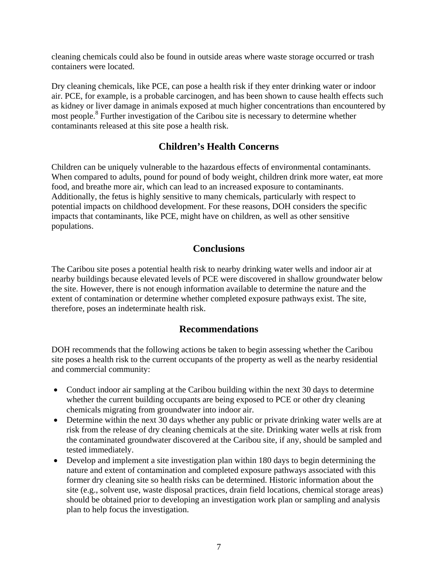cleaning chemicals could also be found in outside areas where waste storage occurred or trash containers were located.

Dry cleaning chemicals, like PCE, can pose a health risk if they enter drinking water or indoor air. PCE, for example, is a probable carcinogen, and has been shown to cause health effects such as kidney or liver damage in animals exposed at much higher concentrations than encountered by most people.<sup>8</sup> Further investigation of the Caribou site is necessary to determine whether contaminants released at this site pose a health risk.

# **Children's Health Concerns**

Children can be uniquely vulnerable to the hazardous effects of environmental contaminants. When compared to adults, pound for pound of body weight, children drink more water, eat more food, and breathe more air, which can lead to an increased exposure to contaminants. Additionally, the fetus is highly sensitive to many chemicals, particularly with respect to potential impacts on childhood development. For these reasons, DOH considers the specific impacts that contaminants, like PCE, might have on children, as well as other sensitive populations.

# **Conclusions**

The Caribou site poses a potential health risk to nearby drinking water wells and indoor air at nearby buildings because elevated levels of PCE were discovered in shallow groundwater below the site. However, there is not enough information available to determine the nature and the extent of contamination or determine whether completed exposure pathways exist. The site, therefore, poses an indeterminate health risk.

# **Recommendations**

DOH recommends that the following actions be taken to begin assessing whether the Caribou site poses a health risk to the current occupants of the property as well as the nearby residential and commercial community:

- Conduct indoor air sampling at the Caribou building within the next 30 days to determine whether the current building occupants are being exposed to PCE or other dry cleaning chemicals migrating from groundwater into indoor air.
- Determine within the next 30 days whether any public or private drinking water wells are at risk from the release of dry cleaning chemicals at the site. Drinking water wells at risk from the contaminated groundwater discovered at the Caribou site, if any, should be sampled and tested immediately.
- Develop and implement a site investigation plan within 180 days to begin determining the nature and extent of contamination and completed exposure pathways associated with this former dry cleaning site so health risks can be determined. Historic information about the site (e.g., solvent use, waste disposal practices, drain field locations, chemical storage areas) should be obtained prior to developing an investigation work plan or sampling and analysis plan to help focus the investigation.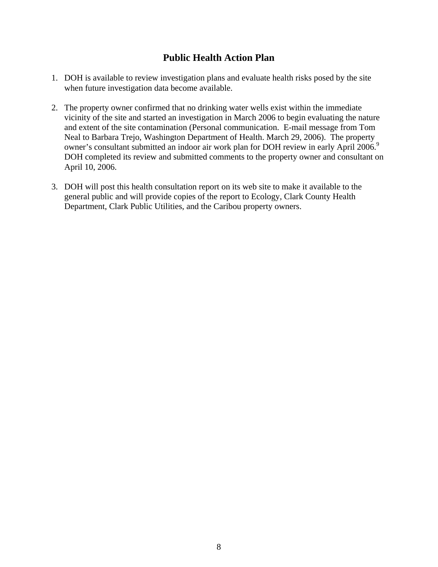# **Public Health Action Plan**

- 1. DOH is available to review investigation plans and evaluate health risks posed by the site when future investigation data become available.
- 2. The property owner confirmed that no drinking water wells exist within the immediate vicinity of the site and started an investigation in March 2006 to begin evaluating the nature and extent of the site contamination (Personal communication. E-mail message from Tom Neal to Barbara Trejo, Washington Department of Health. March 29, 2006). The property owner's consultant submitted an indoor air work plan for DOH review in early April 2006.<sup>9</sup> DOH completed its review and submitted comments to the property owner and consultant on April 10, 2006.
- 3. DOH will post this health consultation report on its web site to make it available to the general public and will provide copies of the report to Ecology, Clark County Health Department, Clark Public Utilities, and the Caribou property owners.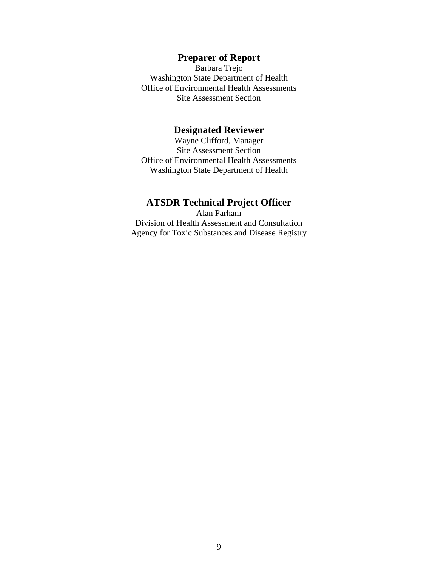## **Preparer of Report**

Barbara Trejo Washington State Department of Health Office of Environmental Health Assessments Site Assessment Section

#### **Designated Reviewer**

Wayne Clifford, Manager Site Assessment Section Office of Environmental Health Assessments Washington State Department of Health

# **ATSDR Technical Project Officer**

Alan Parham Division of Health Assessment and Consultation Agency for Toxic Substances and Disease Registry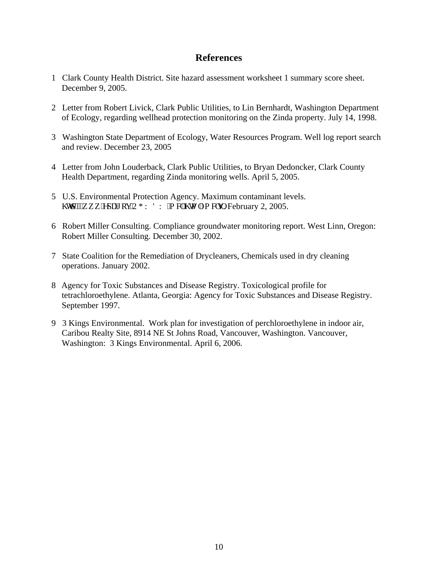#### **References**

- 1 Clark County Health District. Site hazard assessment worksheet 1 summary score sheet. December 9, 2005.
- 2 Letter from Robert Livick, Clark Public Utilities, to Lin Bernhardt, Washington Department of Ecology, regarding wellhead protection monitoring on the Zinda property. July 14, 1998.
- 3 Washington State Department of Ecology, Water Resources Program. Well log report search and review. December 23, 2005
- 4 Letter from John Louderback, Clark Public Utilities, to Bryan Dedoncker, Clark County Health Department, regarding Zinda monitoring wells. April 5, 2005.
- 5 U.S. Environmental Protection Agency. Maximum contaminant levels. j wr  $\text{div }$  y v  $\text{Or }$  c $\theta$  qx  $\text{IO}$  Y F Y to end to n% en February 2, 2005.
- 6 Robert Miller Consulting. Compliance groundwater monitoring report. West Linn, Oregon: Robert Miller Consulting. December 30, 2002.
- 7 State Coalition for the Remediation of Drycleaners, Chemicals used in dry cleaning operations. January 2002.
- 8 Agency for Toxic Substances and Disease Registry. Toxicological profile for tetrachloroethylene. Atlanta, Georgia: Agency for Toxic Substances and Disease Registry. September 1997.
- 9 3 Kings Environmental. Work plan for investigation of perchloroethylene in indoor air, Caribou Realty Site, 8914 NE St Johns Road, Vancouver, Washington. Vancouver, Washington: 3 Kings Environmental. April 6, 2006.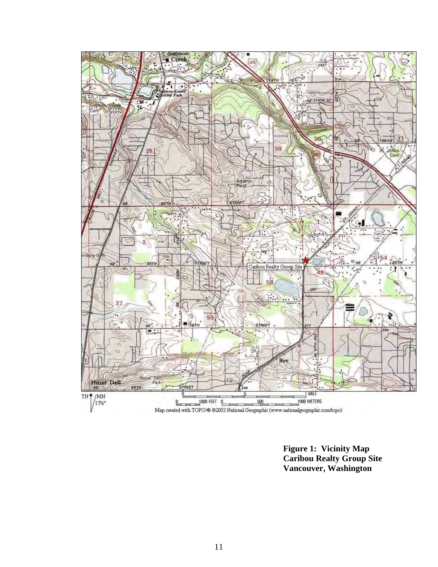

 **Figure 1: Vicinity Map Caribou Realty Group Site Vancouver, Washington**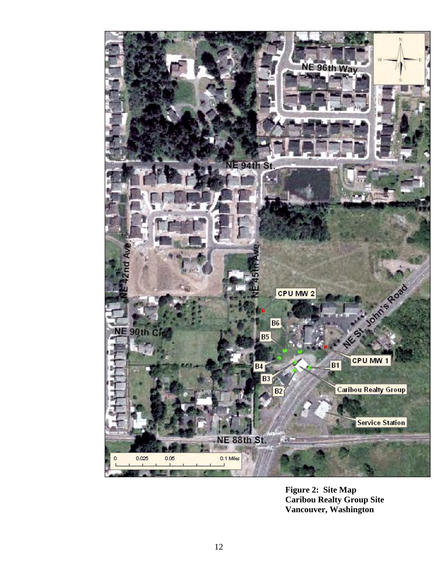

 **Figure 2: Site Map Caribou Realty Group Site Vancouver, Washington**